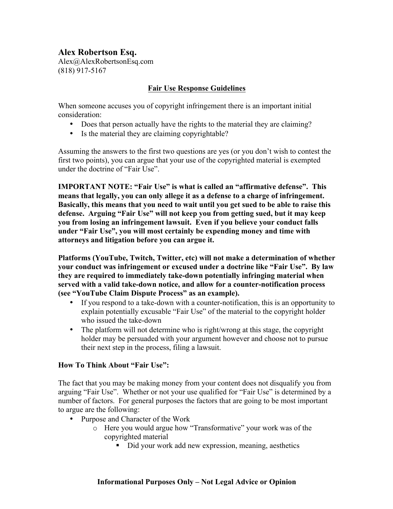## **Alex Robertson Esq.**

Alex@AlexRobertsonEsq.com (818) 917-5167

## **Fair Use Response Guidelines**

When someone accuses you of copyright infringement there is an important initial consideration:

- Does that person actually have the rights to the material they are claiming?
- Is the material they are claiming copyrightable?

Assuming the answers to the first two questions are yes (or you don't wish to contest the first two points), you can argue that your use of the copyrighted material is exempted under the doctrine of "Fair Use".

**IMPORTANT NOTE: "Fair Use" is what is called an "affirmative defense". This means that legally, you can only allege it as a defense to a charge of infringement. Basically, this means that you need to wait until you get sued to be able to raise this defense. Arguing "Fair Use" will not keep you from getting sued, but it may keep you from losing an infringement lawsuit. Even if you believe your conduct falls under "Fair Use", you will most certainly be expending money and time with attorneys and litigation before you can argue it.** 

**Platforms (YouTube, Twitch, Twitter, etc) will not make a determination of whether your conduct was infringement or excused under a doctrine like "Fair Use". By law they are required to immediately take-down potentially infringing material when served with a valid take-down notice, and allow for a counter-notification process (see "YouTube Claim Dispute Process" as an example).**

- If you respond to a take-down with a counter-notification, this is an opportunity to explain potentially excusable "Fair Use" of the material to the copyright holder who issued the take-down
- The platform will not determine who is right/wrong at this stage, the copyright holder may be persuaded with your argument however and choose not to pursue their next step in the process, filing a lawsuit.

## **How To Think About "Fair Use":**

The fact that you may be making money from your content does not disqualify you from arguing "Fair Use". Whether or not your use qualified for "Fair Use" is determined by a number of factors. For general purposes the factors that are going to be most important to argue are the following:

- Purpose and Character of the Work
	- o Here you would argue how "Transformative" your work was of the copyrighted material
		- ! Did your work add new expression, meaning, aesthetics